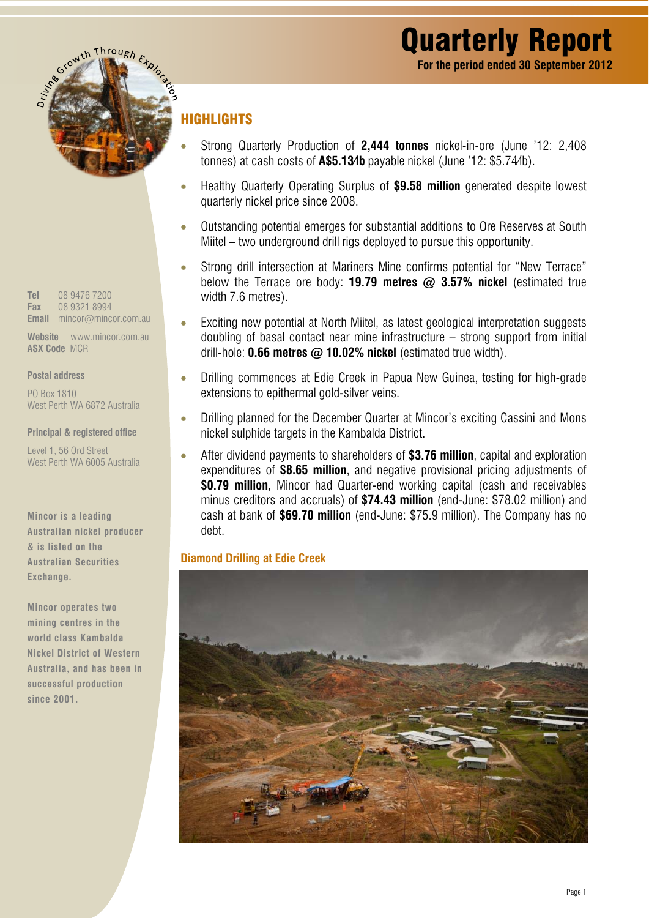

*Tel* 08 9476 7200 *Fax* 08 9321 8994 *Email* mincor@mincor.com.au

*Website* www.mincor.com.au *ASX Code* MCR

#### *Postal address*

PO Box 1810 West Perth WA 6872 Australia

*Principal & registered office* 

Level 1, 56 Ord Street West Perth WA 6005 Australia

*Mincor is a leading Australian nickel producer & is listed on the Australian Securities Exchange.* 

*Mincor operates two mining centres in the world class Kambalda Nickel District of Western Australia, and has been in successful production since 2001.* 

# HIGHLIGHTS

- Strong Quarterly Production of *2,444 tonnes* nickel-in-ore (June '12: 2,408 tonnes) at cash costs of *A\$5.13/lb* payable nickel (June '12: \$5.74/lb).
- Healthy Quarterly Operating Surplus of *\$9.58 million* generated despite lowest quarterly nickel price since 2008.
- Outstanding potential emerges for substantial additions to Ore Reserves at South Miitel – two underground drill rigs deployed to pursue this opportunity.
- Strong drill intersection at Mariners Mine confirms potential for "New Terrace" below the Terrace ore body: *19.79 metres @ 3.57% nickel* (estimated true width 7.6 metres).
- Exciting new potential at North Miitel, as latest geological interpretation suggests doubling of basal contact near mine infrastructure – strong support from initial drill-hole: *0.66 metres @ 10.02% nickel* (estimated true width).
- Drilling commences at Edie Creek in Papua New Guinea, testing for high-grade extensions to epithermal gold-silver veins.
- Drilling planned for the December Quarter at Mincor's exciting Cassini and Mons nickel sulphide targets in the Kambalda District.
- After dividend payments to shareholders of *\$3.76 million*, capital and exploration expenditures of *\$8.65 million*, and negative provisional pricing adjustments of *\$0.79 million*, Mincor had Quarter-end working capital (cash and receivables minus creditors and accruals) of *\$74.43 million* (end-June: \$78.02 million) and cash at bank of *\$69.70 million* (end-June: \$75.9 million). The Company has no debt.

### *Diamond Drilling at Edie Creek*

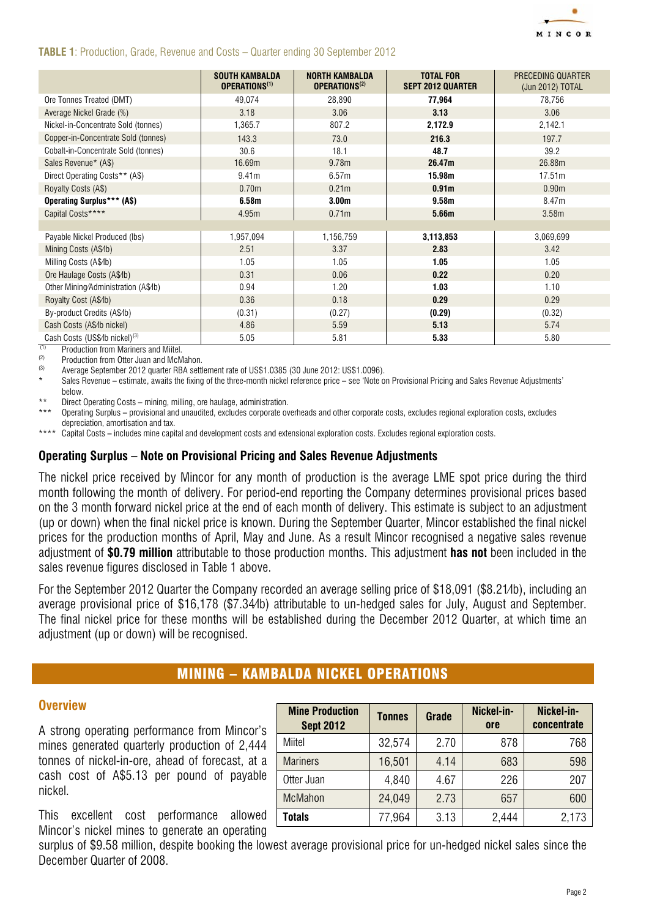

#### *TABLE 1*: Production, Grade, Revenue and Costs – Quarter ending 30 September 2012

|                                                 | <b>SOUTH KAMBALDA</b><br>OPERATIONS <sup>(1)</sup> | <b>NORTH KAMBALDA</b><br>OPERATIONS <sup>(2)</sup> | <b>TOTAL FOR</b><br><b>SEPT 2012 QUARTER</b> | PRECEDING QUARTER<br>(Jun 2012) TOTAL |
|-------------------------------------------------|----------------------------------------------------|----------------------------------------------------|----------------------------------------------|---------------------------------------|
| Ore Tonnes Treated (DMT)                        | 49,074                                             | 28,890                                             | 77,964                                       | 78,756                                |
| Average Nickel Grade (%)                        | 3.18                                               | 3.06                                               | 3.13                                         | 3.06                                  |
| Nickel-in-Concentrate Sold (tonnes)             | 1,365.7                                            | 807.2                                              | 2,172.9                                      | 2,142.1                               |
| Copper-in-Concentrate Sold (tonnes)             | 143.3                                              | 73.0                                               | 216.3                                        | 197.7                                 |
| Cobalt-in-Concentrate Sold (tonnes)             | 30.6                                               | 18.1                                               | 48.7                                         | 39.2                                  |
| Sales Revenue* (A\$)                            | 16.69m                                             | 9.78m                                              | 26.47m                                       | 26.88m                                |
| Direct Operating Costs** (A\$)                  | 9.41m                                              | 6.57m                                              | 15.98m                                       | 17.51m                                |
| Royalty Costs (A\$)                             | 0.70m                                              | 0.21 <sub>m</sub>                                  | 0.91 <sub>m</sub>                            | 0.90 <sub>m</sub>                     |
| <b>Operating Surplus*** (A\$)</b>               | 6.58m                                              | 3.00 <sub>m</sub>                                  | 9.58 <sub>m</sub>                            | 8.47m                                 |
| Capital Costs****                               | 4.95m                                              | 0.71m                                              | 5.66m                                        | 3.58m                                 |
|                                                 |                                                    |                                                    |                                              |                                       |
| Payable Nickel Produced (lbs)                   | 1,957,094                                          | 1,156,759                                          | 3,113,853                                    | 3,069,699                             |
| Mining Costs (A\$4b)                            | 2.51                                               | 3.37                                               | 2.83                                         | 3.42                                  |
| Milling Costs (A\$/b)                           | 1.05                                               | 1.05                                               | 1.05                                         | 1.05                                  |
| Ore Haulage Costs (A\$4b)                       | 0.31                                               | 0.06                                               | 0.22                                         | 0.20                                  |
| Other Mining/Administration (A\$/b)             | 0.94                                               | 1.20                                               | 1.03                                         | 1.10                                  |
| Royalty Cost (A\$4b)                            | 0.36                                               | 0.18                                               | 0.29                                         | 0.29                                  |
| By-product Credits (A\$/b)                      | (0.31)                                             | (0.27)                                             | (0.29)                                       | (0.32)                                |
| Cash Costs (A\$/b nickel)                       | 4.86                                               | 5.59                                               | 5.13                                         | 5.74                                  |
| Cash Costs (US\$/lb nickel) <sup>(3)</sup><br>. | 5.05                                               | 5.81                                               | 5.33                                         | 5.80                                  |

 $(1)$  Production from Mariners and Miitel.<br>(2) Dependentian from Ottor, Juan and Moh

 $(2)$  Production from Otter Juan and McMahon.

(3) Average September 2012 quarter RBA settlement rate of US\$1.0385 (30 June 2012: US\$1.0096).

Sales Revenue – estimate, awaits the fixing of the three-month nickel reference price – see 'Note on Provisional Pricing and Sales Revenue Adjustments' below.

Direct Operating Costs – mining, milling, ore haulage, administration.

\*\*\* Operating Surplus – provisional and unaudited, excludes corporate overheads and other corporate costs, excludes regional exploration costs, excludes depreciation, amortisation and tax.

\*\*\*\* Capital Costs – includes mine capital and development costs and extensional exploration costs. Excludes regional exploration costs.

#### *Operating Surplus – Note on Provisional Pricing and Sales Revenue Adjustments*

The nickel price received by Mincor for any month of production is the average LME spot price during the third month following the month of delivery. For period-end reporting the Company determines provisional prices based on the 3 month forward nickel price at the end of each month of delivery. This estimate is subject to an adjustment (up or down) when the final nickel price is known. During the September Quarter, Mincor established the final nickel prices for the production months of April, May and June. As a result Mincor recognised a negative sales revenue adjustment of *\$0.79 million* attributable to those production months. This adjustment *has not* been included in the sales revenue figures disclosed in Table 1 above.

For the September 2012 Quarter the Company recorded an average selling price of \$18,091 (\$8.21/lb), including an average provisional price of \$16,178 (\$7.34/lb) attributable to un-hedged sales for July, August and September. The final nickel price for these months will be established during the December 2012 Quarter, at which time an adjustment (up or down) will be recognised.

# MINING – KAMBALDA NICKEL OPERATIONS

#### *Overview*

A strong operating performance from Mincor's mines generated quarterly production of 2,444 tonnes of nickel-in-ore, ahead of forecast, at a cash cost of A\$5.13 per pound of payable nickel.

This excellent cost performance allowed Mincor's nickel mines to generate an operating

| <b>Mine Production</b><br><b>Sept 2012</b> | <b>Tonnes</b> | Grade | Nickel-in-<br>ore | Nickel-in-<br>concentrate |
|--------------------------------------------|---------------|-------|-------------------|---------------------------|
| Miitel                                     | 32,574        | 2.70  | 878               | 768                       |
| <b>Mariners</b>                            | 16,501        | 4.14  | 683               | 598                       |
| Otter Juan                                 | 4,840         | 4.67  | 226               | 207                       |
| <b>McMahon</b>                             | 24,049        | 2.73  | 657               | 600                       |
| <b>Totals</b>                              | 77,964        | 3.13  | 2,444             | 2,173                     |

surplus of \$9.58 million, despite booking the lowest average provisional price for un-hedged nickel sales since the December Quarter of 2008.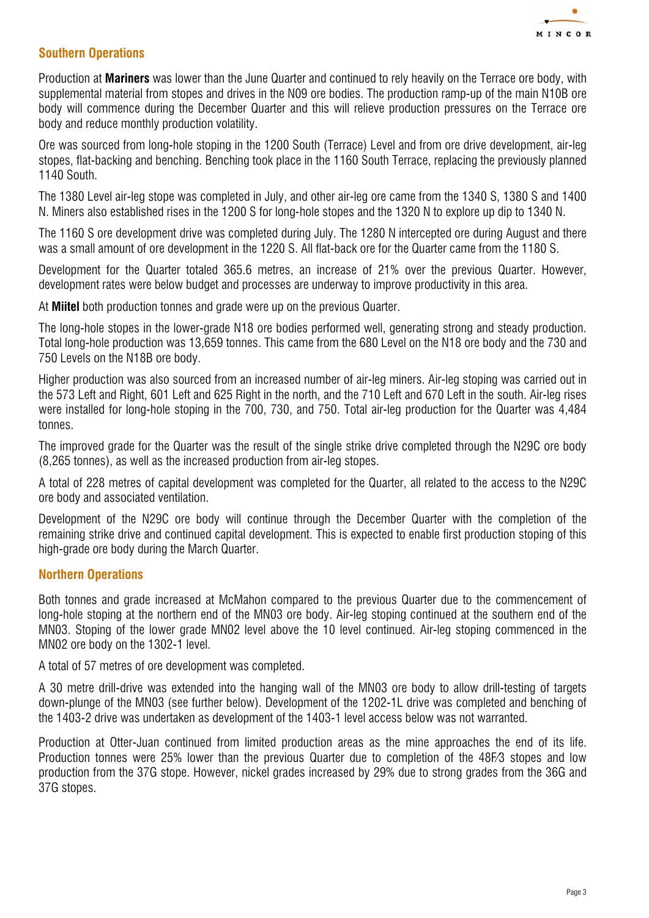

# *Southern Operations*

Production at *Mariners* was lower than the June Quarter and continued to rely heavily on the Terrace ore body, with supplemental material from stopes and drives in the N09 ore bodies. The production ramp-up of the main N10B ore body will commence during the December Quarter and this will relieve production pressures on the Terrace ore body and reduce monthly production volatility.

Ore was sourced from long-hole stoping in the 1200 South (Terrace) Level and from ore drive development, air-leg stopes, flat-backing and benching. Benching took place in the 1160 South Terrace, replacing the previously planned 1140 South.

The 1380 Level air-leg stope was completed in July, and other air-leg ore came from the 1340 S, 1380 S and 1400 N. Miners also established rises in the 1200 S for long-hole stopes and the 1320 N to explore up dip to 1340 N.

The 1160 S ore development drive was completed during July. The 1280 N intercepted ore during August and there was a small amount of ore development in the 1220 S. All flat-back ore for the Quarter came from the 1180 S.

Development for the Quarter totaled 365.6 metres, an increase of 21% over the previous Quarter. However, development rates were below budget and processes are underway to improve productivity in this area.

At *Miitel* both production tonnes and grade were up on the previous Quarter.

The long-hole stopes in the lower-grade N18 ore bodies performed well, generating strong and steady production. Total long-hole production was 13,659 tonnes. This came from the 680 Level on the N18 ore body and the 730 and 750 Levels on the N18B ore body.

Higher production was also sourced from an increased number of air-leg miners. Air-leg stoping was carried out in the 573 Left and Right, 601 Left and 625 Right in the north, and the 710 Left and 670 Left in the south. Air-leg rises were installed for long-hole stoping in the 700, 730, and 750. Total air-leg production for the Quarter was 4,484 tonnes.

The improved grade for the Quarter was the result of the single strike drive completed through the N29C ore body (8,265 tonnes), as well as the increased production from air-leg stopes.

A total of 228 metres of capital development was completed for the Quarter, all related to the access to the N29C ore body and associated ventilation.

Development of the N29C ore body will continue through the December Quarter with the completion of the remaining strike drive and continued capital development. This is expected to enable first production stoping of this high-grade ore body during the March Quarter.

### *Northern Operations*

Both tonnes and grade increased at McMahon compared to the previous Quarter due to the commencement of long-hole stoping at the northern end of the MN03 ore body. Air-leg stoping continued at the southern end of the MN03. Stoping of the lower grade MN02 level above the 10 level continued. Air-leg stoping commenced in the MN02 ore body on the 1302-1 level.

A total of 57 metres of ore development was completed.

A 30 metre drill-drive was extended into the hanging wall of the MN03 ore body to allow drill-testing of targets down-plunge of the MN03 (see further below). Development of the 1202-1L drive was completed and benching of the 1403-2 drive was undertaken as development of the 1403-1 level access below was not warranted.

Production at Otter-Juan continued from limited production areas as the mine approaches the end of its life. Production tonnes were 25% lower than the previous Quarter due to completion of the 48F/3 stopes and low production from the 37G stope. However, nickel grades increased by 29% due to strong grades from the 36G and 37G stopes.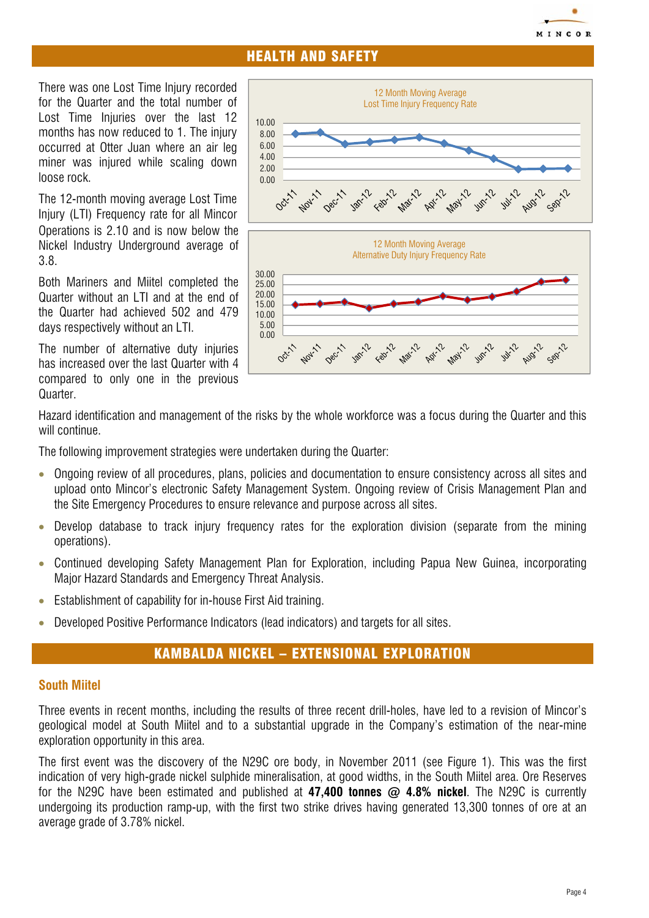# MINCOR

# HEALTH AND SAFETY

There was one Lost Time Injury recorded for the Quarter and the total number of Lost Time Injuries over the last 12 months has now reduced to 1. The injury occurred at Otter Juan where an air leg miner was injured while scaling down loose rock.

The 12-month moving average Lost Time Injury (LTI) Frequency rate for all Mincor Operations is 2.10 and is now below the Nickel Industry Underground average of 3.8.

Both Mariners and Miitel completed the Quarter without an LTI and at the end of the Quarter had achieved 502 and 479 days respectively without an LTI.

The number of alternative duty injuries has increased over the last Quarter with 4 compared to only one in the previous Quarter.



Hazard identification and management of the risks by the whole workforce was a focus during the Quarter and this will continue.

The following improvement strategies were undertaken during the Quarter:

- Ongoing review of all procedures, plans, policies and documentation to ensure consistency across all sites and upload onto Mincor's electronic Safety Management System. Ongoing review of Crisis Management Plan and the Site Emergency Procedures to ensure relevance and purpose across all sites.
- Develop database to track injury frequency rates for the exploration division (separate from the mining operations).
- Continued developing Safety Management Plan for Exploration, including Papua New Guinea, incorporating Major Hazard Standards and Emergency Threat Analysis.
- Establishment of capability for in-house First Aid training.
- Developed Positive Performance Indicators (lead indicators) and targets for all sites.

# KAMBALDA NICKEL – EXTENSIONAL EXPLORATION

### *South Miitel*

Three events in recent months, including the results of three recent drill-holes, have led to a revision of Mincor's geological model at South Miitel and to a substantial upgrade in the Company's estimation of the near-mine exploration opportunity in this area.

The first event was the discovery of the N29C ore body, in November 2011 (see Figure 1). This was the first indication of very high-grade nickel sulphide mineralisation, at good widths, in the South Miitel area. Ore Reserves for the N29C have been estimated and published at *47,400 tonnes @ 4.8% nickel*. The N29C is currently undergoing its production ramp-up, with the first two strike drives having generated 13,300 tonnes of ore at an average grade of 3.78% nickel.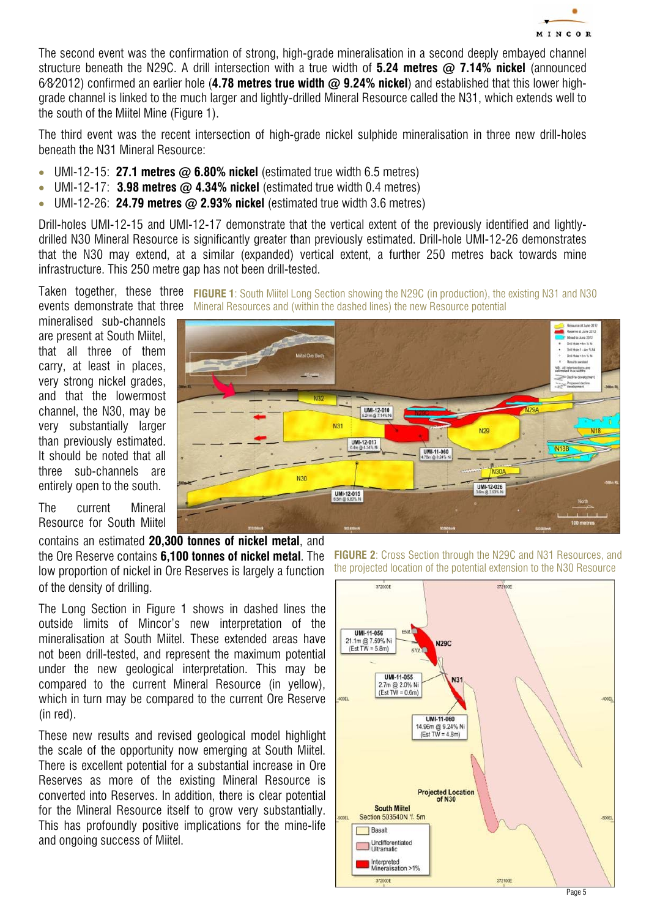

The second event was the confirmation of strong, high-grade mineralisation in a second deeply embayed channel structure beneath the N29C. A drill intersection with a true width of *5.24 metres @ 7.14% nickel* (announced 6/8/2012) confirmed an earlier hole (*4.78 metres true width @ 9.24% nickel*) and established that this lower highgrade channel is linked to the much larger and lightly-drilled Mineral Resource called the N31, which extends well to the south of the Miitel Mine (Figure 1).

The third event was the recent intersection of high-grade nickel sulphide mineralisation in three new drill-holes beneath the N31 Mineral Resource:

- UMI-12-15: *27.1 metres @ 6.80% nickel* (estimated true width 6.5 metres)
- UMI-12-17: **3.98 metres @ 4.34% nickel** (estimated true width 0.4 metres)
- UMI-12-26: *24.79 metres @ 2.93% nickel* (estimated true width 3.6 metres)

Drill-holes UMI-12-15 and UMI-12-17 demonstrate that the vertical extent of the previously identified and lightlydrilled N30 Mineral Resource is significantly greater than previously estimated. Drill-hole UMI-12-26 demonstrates that the N30 may extend, at a similar (expanded) vertical extent, a further 250 metres back towards mine infrastructure. This 250 metre gap has not been drill-tested.

Taken together, these three FIGURE 1: South Miitel Long Section showing the N29C (in production), the existing N31 and N30 events demonstrate that three Mineral Resources and (within the dashed lines) the new Resource potential

mineralised sub-channels are present at South Miitel, that all three of them carry, at least in places, very strong nickel grades, and that the lowermost channel, the N30, may be very substantially larger than previously estimated. It should be noted that all three sub-channels are entirely open to the south.



The current Mineral Resource for South Miitel

contains an estimated *20,300 tonnes of nickel metal*, and the Ore Reserve contains *6,100 tonnes of nickel metal*. The low proportion of nickel in Ore Reserves is largely a function of the density of drilling.

The Long Section in Figure 1 shows in dashed lines the outside limits of Mincor's new interpretation of the mineralisation at South Miitel. These extended areas have not been drill-tested, and represent the maximum potential under the new geological interpretation. This may be compared to the current Mineral Resource (in yellow), which in turn may be compared to the current Ore Reserve (in red).

These new results and revised geological model highlight the scale of the opportunity now emerging at South Miitel. There is excellent potential for a substantial increase in Ore Reserves as more of the existing Mineral Resource is converted into Reserves. In addition, there is clear potential for the Mineral Resource itself to grow very substantially. This has profoundly positive implications for the mine-life and ongoing success of Miitel.

*FIGURE 2*: Cross Section through the N29C and N31 Resources, and the projected location of the potential extension to the N30 Resource

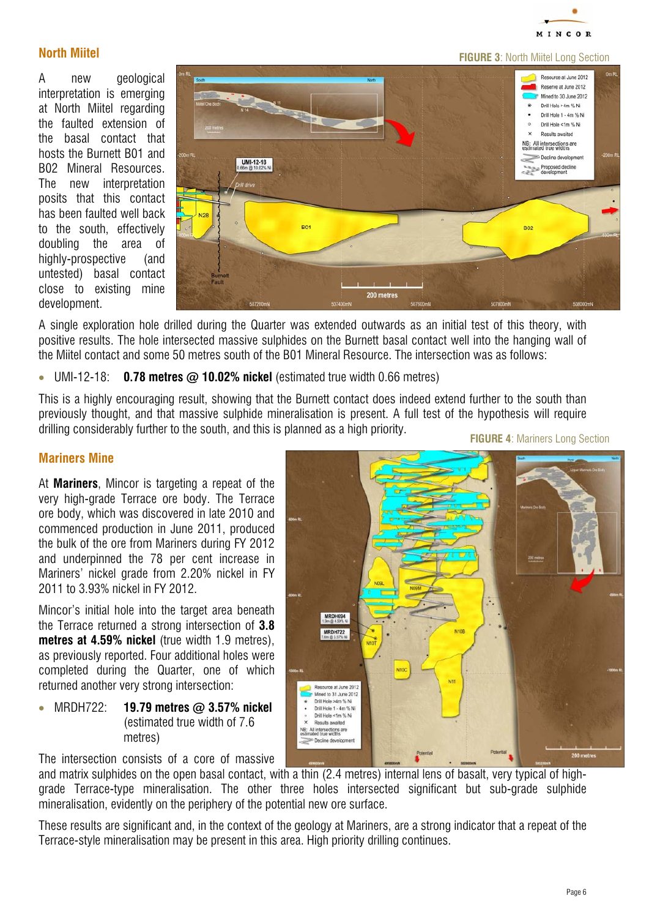

# *North Miitel*

A new geological interpretation is emerging at North Miitel regarding the faulted extension of the basal contact that hosts the Burnett B01 and B02 Mineral Resources. The new interpretation posits that this contact has been faulted well back to the south, effectively doubling the area of highly-prospective (and untested) basal contact close to existing mine development.



A single exploration hole drilled during the Quarter was extended outwards as an initial test of this theory, with positive results. The hole intersected massive sulphides on the Burnett basal contact well into the hanging wall of the Miitel contact and some 50 metres south of the B01 Mineral Resource. The intersection was as follows:

• UMI-12-18: *0.78 metres @ 10.02% nickel* (estimated true width 0.66 metres)

This is a highly encouraging result, showing that the Burnett contact does indeed extend further to the south than previously thought, and that massive sulphide mineralisation is present. A full test of the hypothesis will require drilling considerably further to the south, and this is planned as a high priority.

*FIGURE 4*: Mariners Long Section

#### *Mariners Mine*

At *Mariners*, Mincor is targeting a repeat of the very high-grade Terrace ore body. The Terrace ore body, which was discovered in late 2010 and commenced production in June 2011, produced the bulk of the ore from Mariners during FY 2012 and underpinned the 78 per cent increase in Mariners' nickel grade from 2.20% nickel in FY 2011 to 3.93% nickel in FY 2012.

Mincor's initial hole into the target area beneath the Terrace returned a strong intersection of *3.8 metres at 4.59% nickel* (true width 1.9 metres), as previously reported. Four additional holes were completed during the Quarter, one of which returned another very strong intersection:

• MRDH722: *19.79 metres @ 3.57% nickel*  (estimated true width of 7.6 metres)

MRDH694<br>1.9m @ 4.59% Ni MRDH722<br>7.6m @ 3.57% Ni Resource at June 2012 Mined to 31 June 2012 Drill Hole 1 - 4m % Ni Drill Hole <1m % Ni Results await NB: All intersections are<br>estimated true widths

The intersection consists of a core of massive

and matrix sulphides on the open basal contact, with a thin (2.4 metres) internal lens of basalt, very typical of highgrade Terrace-type mineralisation. The other three holes intersected significant but sub-grade sulphide mineralisation, evidently on the periphery of the potential new ore surface.

These results are significant and, in the context of the geology at Mariners, are a strong indicator that a repeat of the Terrace-style mineralisation may be present in this area. High priority drilling continues.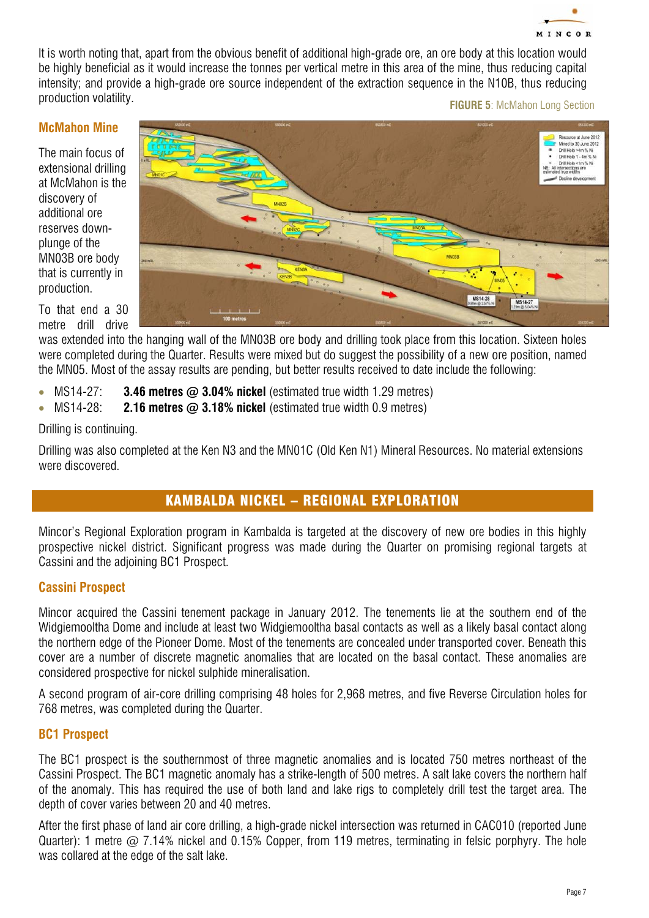

It is worth noting that, apart from the obvious benefit of additional high-grade ore, an ore body at this location would be highly beneficial as it would increase the tonnes per vertical metre in this area of the mine, thus reducing capital intensity; and provide a high-grade ore source independent of the extraction sequence in the N10B, thus reducing production volatility.

#### **FIGURE 5: McMahon Long Section**

#### *McMahon Mine*

The main focus of extensional drilling at McMahon is the discovery of additional ore reserves downplunge of the MN03B ore body that is currently in production.

To that end a 30 metre drill drive



was extended into the hanging wall of the MN03B ore body and drilling took place from this location. Sixteen holes were completed during the Quarter. Results were mixed but do suggest the possibility of a new ore position, named the MN05. Most of the assay results are pending, but better results received to date include the following:

- MS14-27: **3.46 metres**  $\omega$  **3.04% nickel** (estimated true width 1.29 metres)
- MS14-28: **2.16 metres @ 3.18% nickel** (estimated true width 0.9 metres)

Drilling is continuing.

Drilling was also completed at the Ken N3 and the MN01C (Old Ken N1) Mineral Resources. No material extensions were discovered.

# KAMBALDA NICKEL – REGIONAL EXPLORATION

Mincor's Regional Exploration program in Kambalda is targeted at the discovery of new ore bodies in this highly prospective nickel district. Significant progress was made during the Quarter on promising regional targets at Cassini and the adjoining BC1 Prospect.

### *Cassini Prospect*

Mincor acquired the Cassini tenement package in January 2012. The tenements lie at the southern end of the Widgiemooltha Dome and include at least two Widgiemooltha basal contacts as well as a likely basal contact along the northern edge of the Pioneer Dome. Most of the tenements are concealed under transported cover. Beneath this cover are a number of discrete magnetic anomalies that are located on the basal contact. These anomalies are considered prospective for nickel sulphide mineralisation.

A second program of air-core drilling comprising 48 holes for 2,968 metres, and five Reverse Circulation holes for 768 metres, was completed during the Quarter.

#### *BC1 Prospect*

The BC1 prospect is the southernmost of three magnetic anomalies and is located 750 metres northeast of the Cassini Prospect. The BC1 magnetic anomaly has a strike-length of 500 metres. A salt lake covers the northern half of the anomaly. This has required the use of both land and lake rigs to completely drill test the target area. The depth of cover varies between 20 and 40 metres.

After the first phase of land air core drilling, a high-grade nickel intersection was returned in CAC010 (reported June Quarter): 1 metre  $\omega$  7.14% nickel and 0.15% Copper, from 119 metres, terminating in felsic porphyry. The hole was collared at the edge of the salt lake.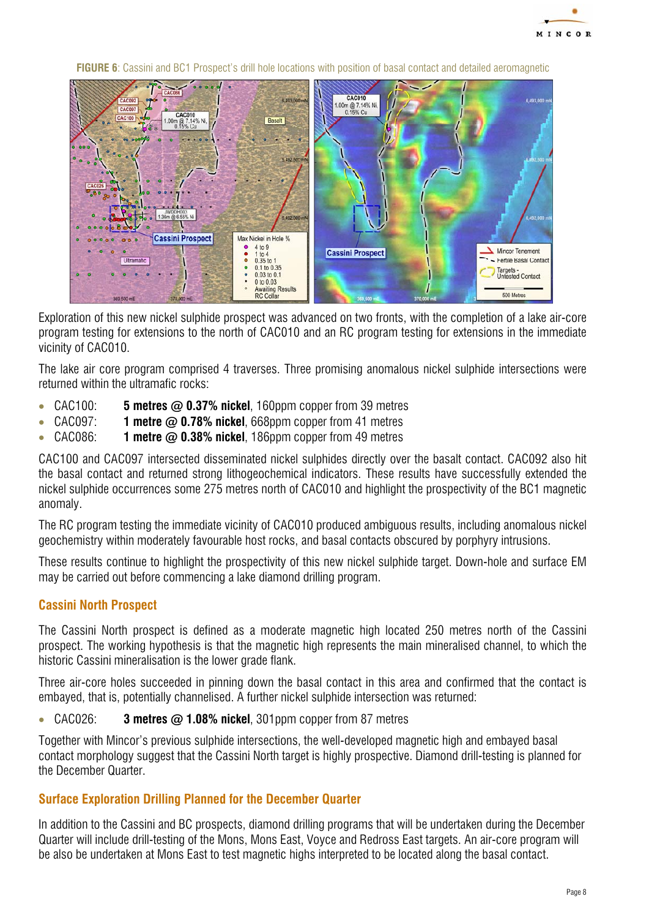

**CAC010** 1.00m @ 7.14% Ni **CAC010** Rasalt **Cassini Prospect** Max Nickel in Hole % 4 to 9<br>1 to 4<br>0.35 to 1<br>0.1 to 0.35 ö Mincor Tenement **Cassini Prospect** Fertile Basal Contar Targets -<br>Untested Contact  $0.03$  to  $0.1$ <br>0 to  $0.03$ 0 to 0.03<br>Awaiting Results<br>RC Collar 500 Metres

**FIGURE 6:** Cassini and BC1 Prospect's drill hole locations with position of basal contact and detailed aeromagnetic

Exploration of this new nickel sulphide prospect was advanced on two fronts, with the completion of a lake air-core program testing for extensions to the north of CAC010 and an RC program testing for extensions in the immediate vicinity of CAC010.

The lake air core program comprised 4 traverses. Three promising anomalous nickel sulphide intersections were returned within the ultramafic rocks:

- CAC100: *5 metres @ 0.37% nickel*, 160ppm copper from 39 metres
- CAC097: *1 metre @ 0.78% nickel*, 668ppm copper from 41 metres
- CAC086: *1 metre @ 0.38% nickel*, 186ppm copper from 49 metres

CAC100 and CAC097 intersected disseminated nickel sulphides directly over the basalt contact. CAC092 also hit the basal contact and returned strong lithogeochemical indicators. These results have successfully extended the nickel sulphide occurrences some 275 metres north of CAC010 and highlight the prospectivity of the BC1 magnetic anomaly.

The RC program testing the immediate vicinity of CAC010 produced ambiguous results, including anomalous nickel geochemistry within moderately favourable host rocks, and basal contacts obscured by porphyry intrusions.

These results continue to highlight the prospectivity of this new nickel sulphide target. Down-hole and surface EM may be carried out before commencing a lake diamond drilling program.

### *Cassini North Prospect*

The Cassini North prospect is defined as a moderate magnetic high located 250 metres north of the Cassini prospect. The working hypothesis is that the magnetic high represents the main mineralised channel, to which the historic Cassini mineralisation is the lower grade flank.

Three air-core holes succeeded in pinning down the basal contact in this area and confirmed that the contact is embayed, that is, potentially channelised. A further nickel sulphide intersection was returned:

• CAC026: *3 metres @ 1.08% nickel*, 301ppm copper from 87 metres

Together with Mincor's previous sulphide intersections, the well-developed magnetic high and embayed basal contact morphology suggest that the Cassini North target is highly prospective. Diamond drill-testing is planned for the December Quarter.

### *Surface Exploration Drilling Planned for the December Quarter*

In addition to the Cassini and BC prospects, diamond drilling programs that will be undertaken during the December Quarter will include drill-testing of the Mons, Mons East, Voyce and Redross East targets. An air-core program will be also be undertaken at Mons East to test magnetic highs interpreted to be located along the basal contact.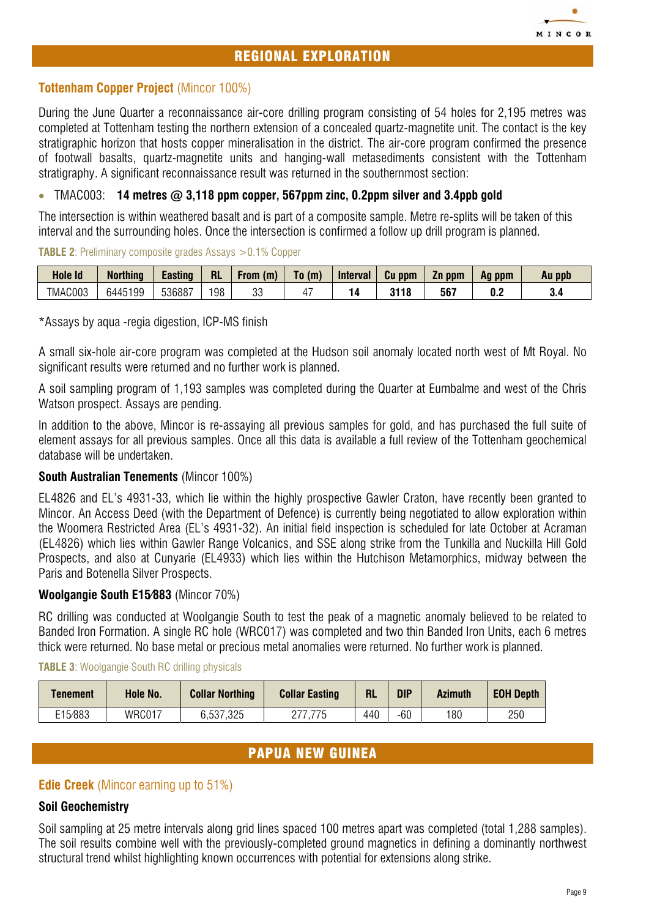

During the June Quarter a reconnaissance air-core drilling program consisting of 54 holes for 2,195 metres was completed at Tottenham testing the northern extension of a concealed quartz-magnetite unit. The contact is the key stratigraphic horizon that hosts copper mineralisation in the district. The air-core program confirmed the presence of footwall basalts, quartz-magnetite units and hanging-wall metasediments consistent with the Tottenham stratigraphy. A significant reconnaissance result was returned in the southernmost section:

### • TMAC003: *14 metres @ 3,118 ppm copper, 567ppm zinc, 0.2ppm silver and 3.4ppb gold*

The intersection is within weathered basalt and is part of a composite sample. Metre re-splits will be taken of this interval and the surrounding holes. Once the intersection is confirmed a follow up drill program is planned.

**TABLE 2:** Preliminary composite grades Assays > 0.1% Copper

| Hole Id | <b>Northing</b> | <b>Lasting</b> | <b>RL</b> | <b>From</b><br>(m) | To (m) | <b>Interval</b> | Cu<br>ppm | Zn ppm | ppm<br>Aq | Au ppb |
|---------|-----------------|----------------|-----------|--------------------|--------|-----------------|-----------|--------|-----------|--------|
| TMAC003 | 6445199         | 536887         | 198       | n n<br>ບບ          |        |                 | 3118      | 567    | υ.∠       | v.,    |

\*Assays by aqua -regia digestion, ICP-MS finish

A small six-hole air-core program was completed at the Hudson soil anomaly located north west of Mt Royal. No significant results were returned and no further work is planned.

A soil sampling program of 1,193 samples was completed during the Quarter at Eumbalme and west of the Chris Watson prospect. Assays are pending.

In addition to the above, Mincor is re-assaying all previous samples for gold, and has purchased the full suite of element assays for all previous samples. Once all this data is available a full review of the Tottenham geochemical database will be undertaken.

### *South Australian Tenements* (Mincor 100%)

EL4826 and EL's 4931-33, which lie within the highly prospective Gawler Craton, have recently been granted to Mincor. An Access Deed (with the Department of Defence) is currently being negotiated to allow exploration within the Woomera Restricted Area (EL's 4931-32). An initial field inspection is scheduled for late October at Acraman (EL4826) which lies within Gawler Range Volcanics, and SSE along strike from the Tunkilla and Nuckilla Hill Gold Prospects, and also at Cunyarie (EL4933) which lies within the Hutchison Metamorphics, midway between the Paris and Botenella Silver Prospects.

#### *Woolgangie South E15/883* (Mincor 70%)

RC drilling was conducted at Woolgangie South to test the peak of a magnetic anomaly believed to be related to Banded Iron Formation. A single RC hole (WRC017) was completed and two thin Banded Iron Units, each 6 metres thick were returned. No base metal or precious metal anomalies were returned. No further work is planned.

#### **TABLE 3: Woolgangie South RC drilling physicals**

| Tenement | Hole No.      | <b>Collar Northing</b> | <b>Collar Easting</b> | <b>RL</b> | <b>DIP</b> | <b>Azimuth</b> | <b>EOH Depth</b> |
|----------|---------------|------------------------|-----------------------|-----------|------------|----------------|------------------|
| E15/883  | <b>WRC017</b> | 6,537,325              |                       | 440       | $-60$      | 180            | 250              |

# PAPUA NEW GUINEA

### **Edie Creek** (Mincor earning up to 51%)

#### *Soil Geochemistry*

Soil sampling at 25 metre intervals along grid lines spaced 100 metres apart was completed (total 1,288 samples). The soil results combine well with the previously-completed ground magnetics in defining a dominantly northwest structural trend whilst highlighting known occurrences with potential for extensions along strike.

MINCO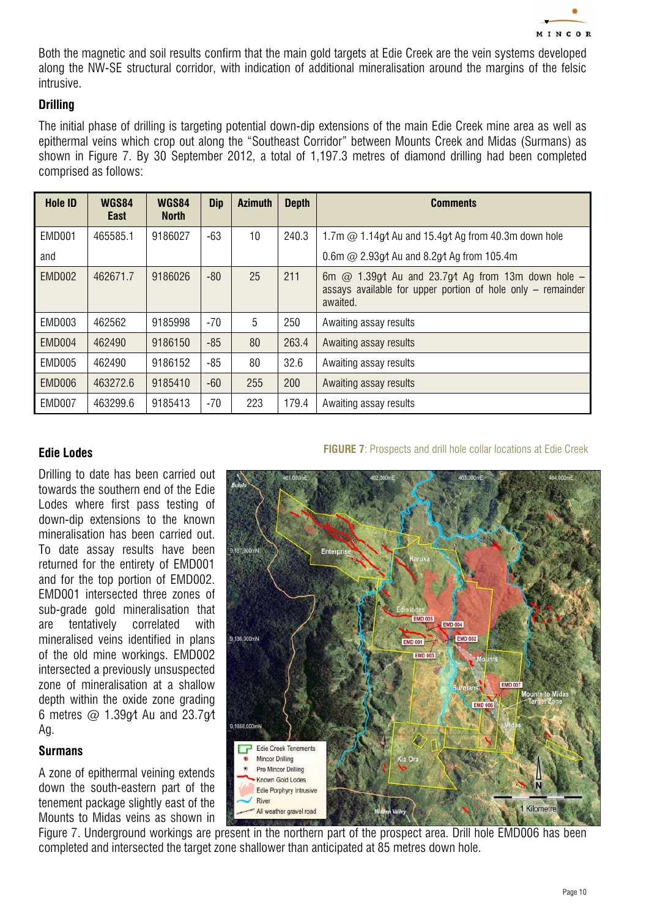

Both the magnetic and soil results confirm that the main gold targets at Edie Creek are the vein systems developed along the NW-SE structural corridor, with indication of additional mineralisation around the margins of the felsic intrusive.

## *Drilling*

The initial phase of drilling is targeting potential down-dip extensions of the main Edie Creek mine area as well as epithermal veins which crop out along the "Southeast Corridor" between Mounts Creek and Midas (Surmans) as shown in Figure 7. By 30 September 2012, a total of 1,197.3 metres of diamond drilling had been completed comprised as follows:

| <b>Hole ID</b> | <b>WGS84</b><br>East | <b>WGS84</b><br><b>North</b> | <b>Dip</b> | <b>Azimuth</b> | <b>Depth</b> | <b>Comments</b>                                                                                                                    |
|----------------|----------------------|------------------------------|------------|----------------|--------------|------------------------------------------------------------------------------------------------------------------------------------|
| EMD001         | 465585.1             | 9186027                      | -63        | 10             | 240.3        | 1.7m $\omega$ 1.14g/t Au and 15.4g/t Ag from 40.3m down hole                                                                       |
| and            |                      |                              |            |                |              | 0.6m $\omega$ 2.93g/t Au and 8.2g/t Ag from 105.4m                                                                                 |
| <b>EMD002</b>  | 462671.7             | 9186026                      | $-80$      | 25             | 211          | 6m $@$ 1.39g/t Au and 23.7g/t Ag from 13m down hole -<br>assays available for upper portion of hole only $-$ remainder<br>awaited. |
| EMD003         | 462562               | 9185998                      | $-70$      | 5              | 250          | Awaiting assay results                                                                                                             |
| EMD004         | 462490               | 9186150                      | $-85$      | 80             | 263.4        | Awaiting assay results                                                                                                             |
| EMD005         | 462490               | 9186152                      | $-85$      | 80             | 32.6         | Awaiting assay results                                                                                                             |
| EMD006         | 463272.6             | 9185410                      | $-60$      | 255            | 200          | Awaiting assay results                                                                                                             |
| EMD007         | 463299.6             | 9185413                      | $-70$      | 223            | 179.4        | Awaiting assay results                                                                                                             |

#### *Edie Lodes*

Drilling to date has been carried out towards the southern end of the Edie Lodes where first pass testing of down-dip extensions to the known mineralisation has been carried out. To date assay results have been returned for the entirety of EMD001 and for the top portion of EMD002. EMD001 intersected three zones of sub-grade gold mineralisation that are tentatively correlated with mineralised veins identified in plans of the old mine workings. EMD002 intersected a previously unsuspected zone of mineralisation at a shallow depth within the oxide zone grading 6 metres  $\omega$  1.39 $\omega$ t Au and 23.7 $\omega$ t Ag.

#### *Surmans*

A zone of epithermal veining extends down the south-eastern part of the tenement package slightly east of the Mounts to Midas veins as shown in

#### **FIGURE 7:** Prospects and drill hole collar locations at Edie Creek



Figure 7. Underground workings are present in the northern part of the prospect area. Drill hole EMD006 has been completed and intersected the target zone shallower than anticipated at 85 metres down hole.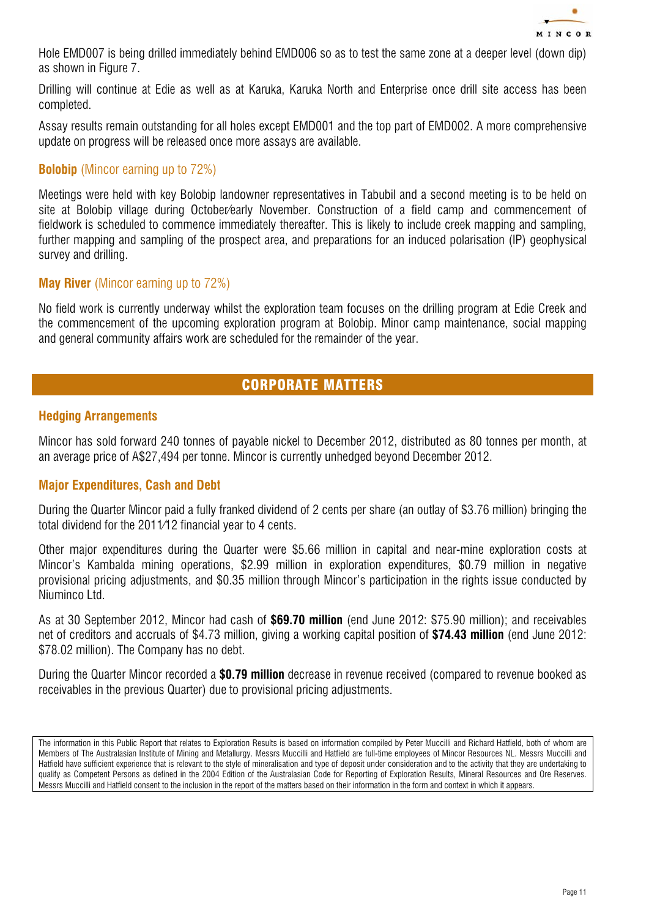

Hole EMD007 is being drilled immediately behind EMD006 so as to test the same zone at a deeper level (down dip) as shown in Figure 7.

Drilling will continue at Edie as well as at Karuka, Karuka North and Enterprise once drill site access has been completed.

Assay results remain outstanding for all holes except EMD001 and the top part of EMD002. A more comprehensive update on progress will be released once more assays are available.

## **Bolobip** (Mincor earning up to 72%)

Meetings were held with key Bolobip landowner representatives in Tabubil and a second meeting is to be held on site at Bolobip village during October/early November. Construction of a field camp and commencement of fieldwork is scheduled to commence immediately thereafter. This is likely to include creek mapping and sampling, further mapping and sampling of the prospect area, and preparations for an induced polarisation (IP) geophysical survey and drilling.

#### **May River** (Mincor earning up to 72%)

No field work is currently underway whilst the exploration team focuses on the drilling program at Edie Creek and the commencement of the upcoming exploration program at Bolobip. Minor camp maintenance, social mapping and general community affairs work are scheduled for the remainder of the year.

# CORPORATE MATTERS

### *Hedging Arrangements*

Mincor has sold forward 240 tonnes of payable nickel to December 2012, distributed as 80 tonnes per month, at an average price of A\$27,494 per tonne. Mincor is currently unhedged beyond December 2012.

### *Major Expenditures, Cash and Debt*

During the Quarter Mincor paid a fully franked dividend of 2 cents per share (an outlay of \$3.76 million) bringing the total dividend for the 2011/12 financial year to 4 cents.

Other major expenditures during the Quarter were \$5.66 million in capital and near-mine exploration costs at Mincor's Kambalda mining operations, \$2.99 million in exploration expenditures, \$0.79 million in negative provisional pricing adjustments, and \$0.35 million through Mincor's participation in the rights issue conducted by Niuminco Ltd.

As at 30 September 2012, Mincor had cash of *\$69.70 million* (end June 2012: \$75.90 million); and receivables net of creditors and accruals of \$4.73 million, giving a working capital position of *\$74.43 million* (end June 2012: \$78.02 million). The Company has no debt.

During the Quarter Mincor recorded a *\$0.79 million* decrease in revenue received (compared to revenue booked as receivables in the previous Quarter) due to provisional pricing adjustments.

The information in this Public Report that relates to Exploration Results is based on information compiled by Peter Muccilli and Richard Hatfield, both of whom are Members of The Australasian Institute of Mining and Metallurgy. Messrs Muccilli and Hatfield are full-time employees of Mincor Resources NL. Messrs Muccilli and Hatfield have sufficient experience that is relevant to the style of mineralisation and type of deposit under consideration and to the activity that they are undertaking to qualify as Competent Persons as defined in the 2004 Edition of the Australasian Code for Reporting of Exploration Results, Mineral Resources and Ore Reserves. Messrs Muccilli and Hatfield consent to the inclusion in the report of the matters based on their information in the form and context in which it appears.